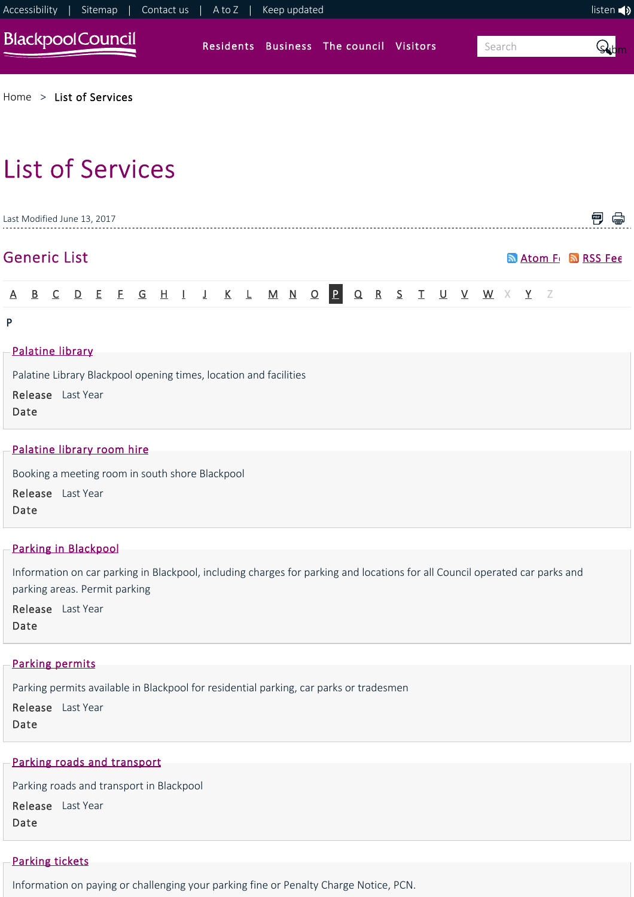

[Home](https://www.blackpool.gov.uk/Home.aspx) > [List of Services](https://www.blackpool.gov.uk/List-of-Services.aspx)

# List of Services

| PDF<br>Last Modified June 13, 2017                                                                                 |  |  |  |  |  |                             |  |  |  |  |  |  |  |  |                                                   |  |  |  |  |  |  |  |
|--------------------------------------------------------------------------------------------------------------------|--|--|--|--|--|-----------------------------|--|--|--|--|--|--|--|--|---------------------------------------------------|--|--|--|--|--|--|--|
| <b>Generic List</b><br><b>Manufacture Strategy</b> RSS Fee                                                         |  |  |  |  |  |                             |  |  |  |  |  |  |  |  |                                                   |  |  |  |  |  |  |  |
| A.                                                                                                                 |  |  |  |  |  |                             |  |  |  |  |  |  |  |  | B C D E E G H I J K L M N O P Q R S T U V W X Y Z |  |  |  |  |  |  |  |
| P                                                                                                                  |  |  |  |  |  |                             |  |  |  |  |  |  |  |  |                                                   |  |  |  |  |  |  |  |
| Palatine library<br>Palatine Library Blackpool opening times, location and facilities<br>Release Last Year<br>Date |  |  |  |  |  |                             |  |  |  |  |  |  |  |  |                                                   |  |  |  |  |  |  |  |
|                                                                                                                    |  |  |  |  |  | -Palatine library room hire |  |  |  |  |  |  |  |  |                                                   |  |  |  |  |  |  |  |

Booking a meeting room in south shore Blackpool

Release Last Year

Date

## [Parking in Blackpool](https://www.blackpool.gov.uk/Residents/Parking-roads-and-transport/Parking/Parking-in-Blackpool.aspx)

Information on car parking in Blackpool, including charges for parking and locations for all Council operated car parks and parking areas. Permit parking

Release Last Year Date

#### [Parking permits](https://www.blackpool.gov.uk/Residents/Parking-roads-and-transport/Parking/Parking-permits/Parking-permits.aspx)

Parking permits available in Blackpool for residential parking, car parks or tradesmen

Release Last Year Date

# [Parking roads and transport](https://www.blackpool.gov.uk/Residents/Parking-roads-and-transport/Parking-roads-and-transport.aspx)

Parking roads and transport in Blackpool

Release Last Year Date

# [Parking tickets](https://www.blackpool.gov.uk/Residents/Parking-roads-and-transport/Parking/Parking-fine-tickets.aspx)

Information on paying or challenging your parking fine or Penalty Charge Notice, PCN.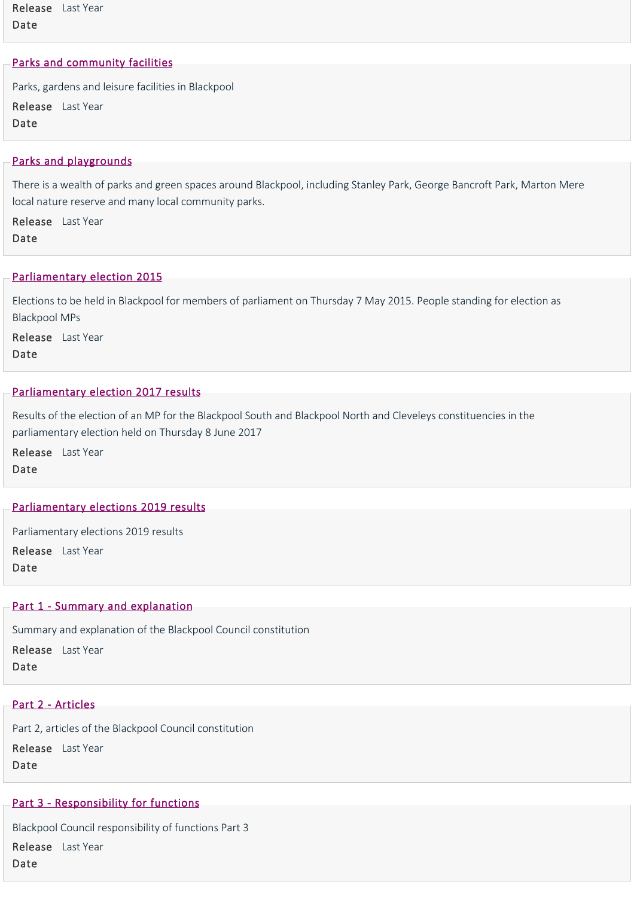Release Last Year Date

## [Parks and community facilities](https://www.blackpool.gov.uk/Residents/Parks-and-community-facilities/Parks-and-community-facilities.aspx)

Parks, gardens and leisure facilities in Blackpool Release Last Year Date

## [Parks and playgrounds](https://www.blackpool.gov.uk/Residents/Parks-and-community-facilities/Parks,-playgrounds-and-community-facilities/Parks-and-playgrounds.aspx)

There is a wealth of parks and green spaces around Blackpool, including Stanley Park, George Bancroft Park, Marton Mere local nature reserve and many local community parks.

Release Last Year Date

#### [Parliamentary election 2015](https://www.blackpool.gov.uk/Your-Council/Voting-and-elections/Elections/Parliamentary-election-2015/Parliamentary-election-2015.aspx)

Elections to be held in Blackpool for members of parliament on Thursday 7 May 2015. People standing for election as Blackpool MPs

Release Last Year Date

#### [Parliamentary election 2017 results](https://www.blackpool.gov.uk/Your-Council/Voting-and-elections/Elections/Parliamentary-election-2017/Parliamentary-election-2017-results.aspx)

Results of the election of an MP for the Blackpool South and Blackpool North and Cleveleys constituencies in the parliamentary election held on Thursday 8 June 2017

Release Last Year Date

#### [Parliamentary elections 2019 results](https://www.blackpool.gov.uk/Your-Council/Voting-and-elections/Elections/Parliamentary-election-2019/Parliamentary-elections-2019-results.aspx)

Parliamentary elections 2019 results

Release Last Year Date

#### Part 1 - Summary and explanation

Summary and explanation of the Blackpool Council constitution

Release Last Year

Date

## [Part 2 ‐ Articles](https://www.blackpool.gov.uk/Your-Council/The-Council/Council-constitution-and-plans/Part-2-Articles.aspx)

Part 2, articles of the Blackpool Council constitution Release Last Year Date

## Part 3 - Responsibility for functions

Blackpool Council responsibility of functions Part 3 Release Last YearDate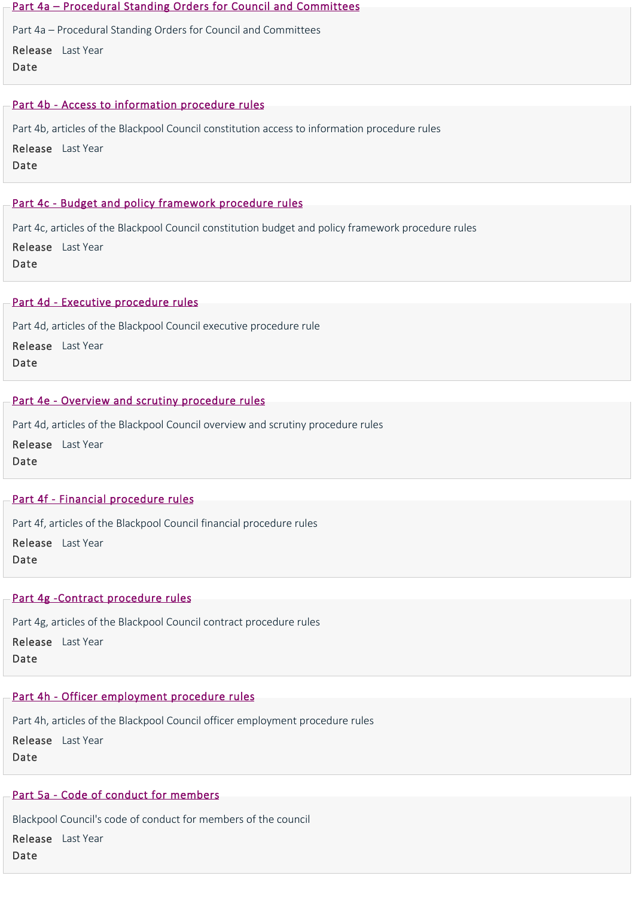#### [Part 4a – Procedural Standing Orders for Council and Committees](https://www.blackpool.gov.uk/Your-Council/The-Council/Council-constitution-and-plans/Part-4a-%E2%80%93-Procedural-Standing-Orders-for-Council-and-Committees.aspx)

Part 4a – Procedural Standing Orders for Council and Committees Release Last Year

Date

## [Part 4b ‐ Access to information procedure rules](https://www.blackpool.gov.uk/Your-Council/The-Council/Council-constitution-and-plans/Part-4b-Access-to-information-procedure-rules.aspx)

Part 4b, articles of the Blackpool Council constitution access to information procedure rules

Release Last Year Date

## Part 4c - Budget and policy framework procedure rules

Part 4c, articles of the Blackpool Council constitution budget and policy framework procedure rules Release Last Year Date

## [Part 4d ‐ Executive procedure rules](https://www.blackpool.gov.uk/Your-Council/The-Council/Council-constitution-and-plans/Part-4d-Executive-procedure-rules.aspx)

Part 4d, articles of the Blackpool Council executive procedure rule

Release Last Year Date

# Part 4e - Overview and scrutiny procedure rules

Part 4d, articles of the Blackpool Council overview and scrutiny procedure rules Release Last Year Date

# [Part 4f ‐ Financial procedure rules](https://www.blackpool.gov.uk/Your-Council/The-Council/Council-constitution-and-plans/Part-4f-Financial-procedure-rules.aspx)

Part 4f, articles of the Blackpool Council financial procedure rules

Release Last Year Date

# Part 4g - Contract procedure rules

Part 4g, articles of the Blackpool Council contract procedure rules

Release Last Year

Date

# [Part 4h ‐ Officer employment procedure rules](https://www.blackpool.gov.uk/Your-Council/The-Council/Council-constitution-and-plans/Part-4h-Officer-employment-procedure-rules.aspx)

Part 4h, articles of the Blackpool Council officer employment procedure rules Release Last Year Date

# [Part 5a ‐ Code of conduct for members](https://www.blackpool.gov.uk/Your-Council/The-Council/Council-constitution-and-plans/Part-5a-Code-of-conduct-for-members.aspx)

Blackpool Council's code of conduct for members of the council

Release Last YearDate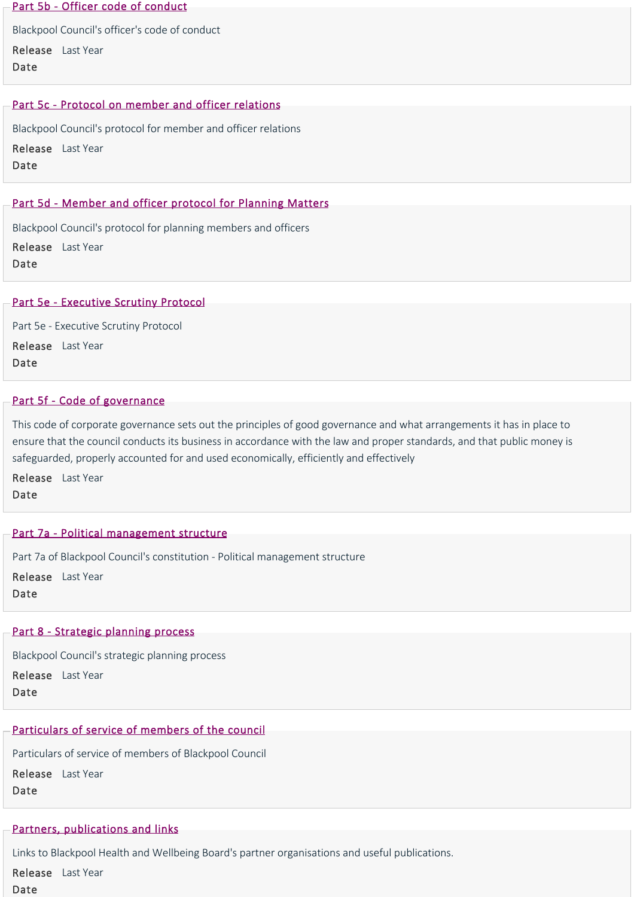#### [Part 5b ‐ Officer code of conduct](https://www.blackpool.gov.uk/Your-Council/The-Council/Council-constitution-and-plans/Part-5b-Officer-code-of-conduct.aspx)

Blackpool Council's officer's code of conduct Release Last Year Date

## Part 5c - Protocol on member and officer relations

Blackpool Council's protocol for member and officer relations Release Last Year Date

## Part 5d - Member and officer protocol for Planning Matters

Blackpool Council's protocol for planning members and officers

Release Last Year Date

#### [Part 5e ‐ Executive Scrutiny Protocol](https://www.blackpool.gov.uk/Your-Council/The-Council/Council-constitution-and-plans/Part-5e-Executive-Scrutiny-Protocol.aspx)

Part 5e ‐ Executive Scrutiny Protocol Release Last Year Date

#### [Part 5f ‐ Code of governance](https://www.blackpool.gov.uk/Your-Council/The-Council/Council-constitution-and-plans/Part-5f-Code-of-governance.aspx)

This code of corporate governance sets out the principles of good governance and what arrangements it has in place to ensure that the council conducts its business in accordance with the law and proper standards, and that public money is safeguarded, properly accounted for and used economically, efficiently and effectively

Release Last Year Date

#### [Part 7a ‐ Political management structure](https://www.blackpool.gov.uk/Your-Council/The-Council/Council-constitution-and-plans/Part-7a-Political-management-structure.aspx)

Part 7a of Blackpool Council's constitution ‐ Political management structure Release Last Year Date

#### [Part 8 ‐ Strategic planning process](https://www.blackpool.gov.uk/Your-Council/The-Council/Council-constitution-and-plans/Part-8-Strategic-planning-process.aspx)

Blackpool Council's strategic planning process

Release Last Year Date

## [Particulars of service of members of the council](https://www.blackpool.gov.uk/Your-Council/The-Council/The-Mayor/Particulars-of-service-of-members-of-the-council.aspx)

Particulars of service of members of Blackpool Council Release Last Year Date

#### [Partners, publications and links](https://www.blackpool.gov.uk/Residents/Health-and-social-care/Health-and-Wellbeing-Board/Partners,-publications-and-links.aspx)

Links to Blackpool Health and Wellbeing Board's partner organisations and useful publications.

Release Last Year

Date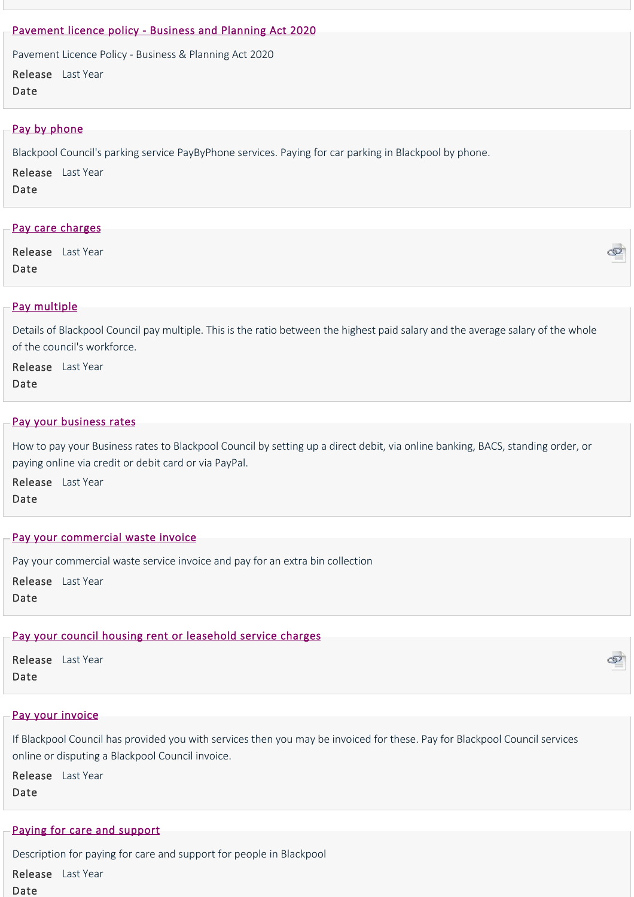## [Pavement licence policy ‐ Business and Planning Act 2020](https://www.blackpool.gov.uk/Business/Licensing-and-permits/Business-and-trading-licences/Pavement-licence-policy.aspx)

Pavement Licence Policy ‐ Business & Planning Act 2020

Release Last Year Date

## [Pay by phone](https://www.blackpool.gov.uk/Residents/Parking-roads-and-transport/Parking/Pay-by-phone.aspx)

Blackpool Council's parking service PayByPhone services. Paying for car parking in Blackpool by phone.

Release Last Year

Date

## [Pay care charges](https://www.civicaepay.co.uk/BlackpoolEstore/estore/default/Catalog/Index?fundcode=22)

Release Last Year Date



#### [Pay multiple](https://www.blackpool.gov.uk/Your-Council/Transparency-and-open-data/Pay-policy-and-salaries/Pay-multiple.aspx)

Details of Blackpool Council pay multiple. This is the ratio between the highest paid salary and the average salary of the whole of the council's workforce.

Release Last Year Date

#### [Pay your business rates](https://www.blackpool.gov.uk/Business/Business-rates/Pay-your-business-rates.aspx)

How to pay your Business rates to Blackpool Council by setting up a direct debit, via online banking, BACS, standing order, or paying online via credit or debit card or via PayPal.

Release Last Year Date

#### [Pay your commercial waste invoice](https://www.blackpool.gov.uk/Business/Commercial-waste/Pay-your-commercial-waste-invoice.aspx)

Pay your commercial waste service invoice and pay for an extra bin collection

Release Last Year Date

#### [Pay your council housing rent or leasehold service charges](https://www.civicaepay.co.uk/BlackpoolEstore/estore/default/Catalog/Index?fundcode=03)

Release Last Year Date

#### [Pay your invoice](https://www.blackpool.gov.uk/Business/Working-with-the-council/Pay-your-invoice.aspx)

If Blackpool Council has provided you with services then you may be invoiced for these. Pay for Blackpool Council services online or disputing a Blackpool Council invoice.

Release Last Year Date

#### [Paying for care and support](https://www.blackpool.gov.uk/Residents/Health-and-social-care/Social-care-for-adults/Adult-social-services/Paying-for-care-and-support.aspx)

Description for paying for care and support for people in Blackpool

Release Last YearDate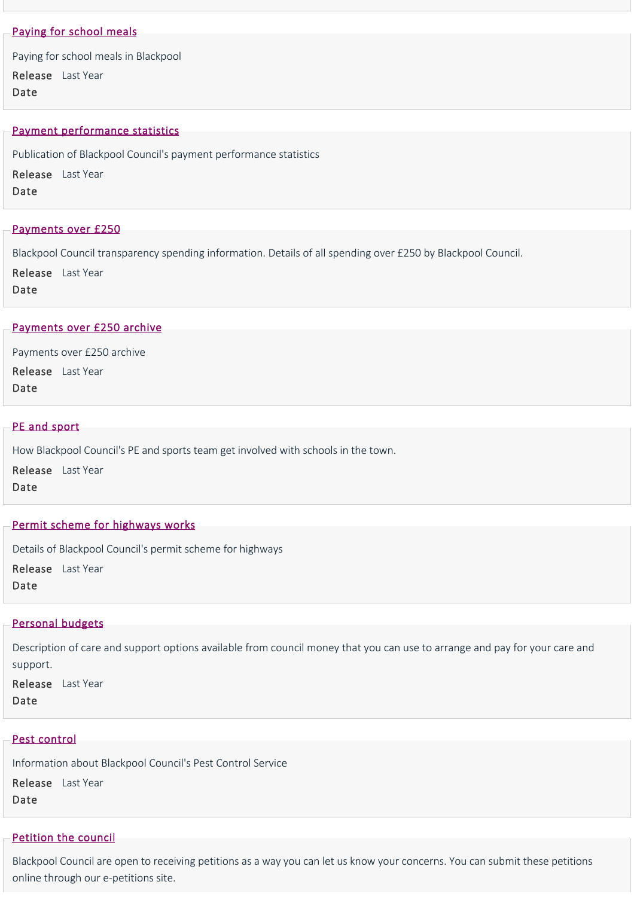## [Paying for school meals](https://www.blackpool.gov.uk/Residents/Education-and-schools/School-meals/Paying-for-school-meals.aspx)

Paying for school meals in Blackpool

Release Last Year Date

#### [Payment performance statistics](https://www.blackpool.gov.uk/Your-Council/Transparency-and-open-data/Budget,-spending-and-procurement/Payment-performance-statistics.aspx)

Publication of Blackpool Council's payment performance statistics

Release Last Year

Date

#### [Payments over £250](https://www.blackpool.gov.uk/Your-Council/Transparency-and-open-data/Budget,-spending-and-procurement/Payments-over-250.aspx)

Blackpool Council transparency spending information. Details of all spending over £250 by Blackpool Council.

Release Last Year

Date

#### [Payments over £250 archive](https://www.blackpool.gov.uk/Your-Council/Transparency-and-open-data/Budget,-spending-and-procurement/Payments-over-250-archive.aspx)

Payments over £250 archive Release Last Year Date

#### [PE and sport](https://www.blackpool.gov.uk/Residents/Education-and-schools/School-improvement/PE-and-sport.aspx)

How Blackpool Council's PE and sports team get involved with schools in the town.

Release Last Year Date

#### [Permit scheme for highways works](https://www.blackpool.gov.uk/Business/Licensing-and-permits/Highways-licences-and-permits/Permit-scheme-for-highways-works.aspx)

Details of Blackpool Council's permit scheme for highways

Release Last Year

Date

## [Personal budgets](https://www.blackpool.gov.uk/Residents/Health-and-social-care/Social-care-for-adults/Adult-social-services/Personal-budgets.aspx)

Description of care and support options available from council money that you can use to arrange and pay for your care and support.

Release Last Year Date

#### [Pest control](https://www.blackpool.gov.uk/Residents/Planning-environment-and-community/Environmental/Pest-control.aspx)

Information about Blackpool Council's Pest Control Service Release Last Year Date

#### [Petition the council](https://www.blackpool.gov.uk/Your-Council/Have-your-say/Petition-the-council.aspx)

Blackpool Council are open to receiving petitions as a way you can let us know your concerns. You can submit these petitions online through our e‐petitions site.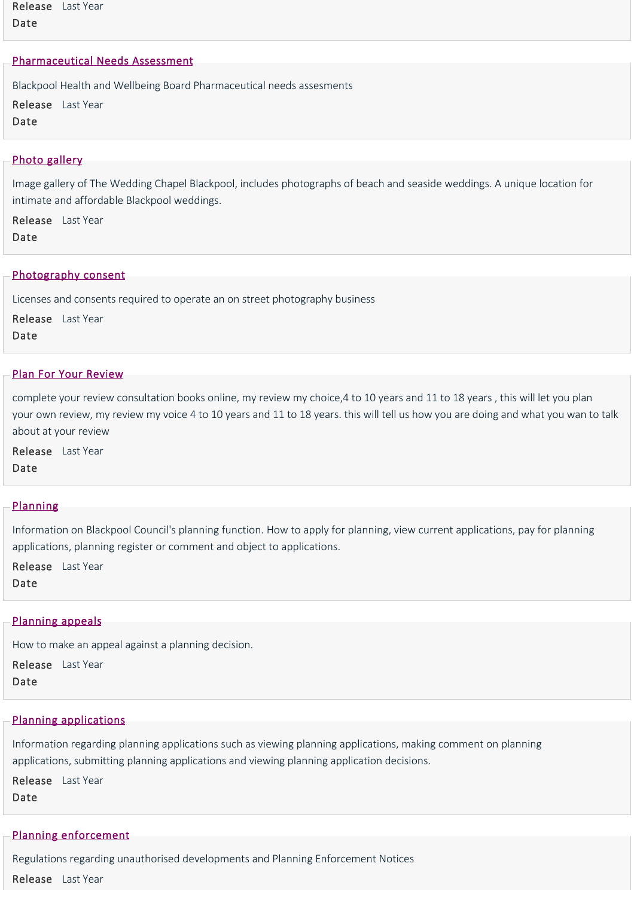Release Last Year Date

#### [Pharmaceutical Needs Assessment](https://www.blackpool.gov.uk/Residents/Health-and-social-care/Health-and-Wellbeing-Board/Pharmaceutical-needs-assessment-.aspx)

Blackpool Health and Wellbeing Board Pharmaceutical needs assesments Release Last Year Date

#### [Photo gallery](https://www.blackpool.gov.uk/Residents/Life-events/Wedding-venues/The-Wedding-Chapel-Blackpool/Photo-gallery.aspx)

Image gallery of The Wedding Chapel Blackpool, includes photographs of beach and seaside weddings. A unique location for intimate and affordable Blackpool weddings.

Release Last Year

Date

#### [Photography consent](https://www.blackpool.gov.uk/Business/Licensing-and-permits/Business-and-trading-licences/Photography-consent.aspx)

Licenses and consents required to operate an on street photography business

Release Last Year Date

#### [Plan For Your Review](https://www.blackpool.gov.uk/Residents/Health-and-social-care/Children-and-families/JustUz/Your-review/Plan-for-your-review.aspx)

complete your review consultation books online, my review my choice,4 to 10 years and 11 to 18 years , this will let you plan your own review, my review my voice 4 to 10 years and 11 to 18 years. this will tell us how you are doing and what you wan to talk about at your review

Release Last Year Date

#### [Planning](https://www.blackpool.gov.uk/Residents/Planning-environment-and-community/Planning/Planning.aspx)

Information on Blackpool Council's planning function. How to apply for planning, view current applications, pay for planning applications, planning register or comment and object to applications.

Release Last Year

Date

## [Planning appeals](https://www.blackpool.gov.uk/Residents/Planning-environment-and-community/Planning/Planning-applications/Planning-appeals.aspx)

How to make an appeal against a planning decision.

Release Last Year

Date

#### [Planning applications](https://www.blackpool.gov.uk/Residents/Planning-environment-and-community/Planning/Planning-applications/Planning-applications.aspx)

Information regarding planning applications such as viewing planning applications, making comment on planning applications, submitting planning applications and viewing planning application decisions.

Release Last Year Date

#### [Planning enforcement](https://www.blackpool.gov.uk/Residents/Planning-environment-and-community/Planning/Planning-enforcement.aspx)

Regulations regarding unauthorised developments and Planning Enforcement Notices

Release Last Year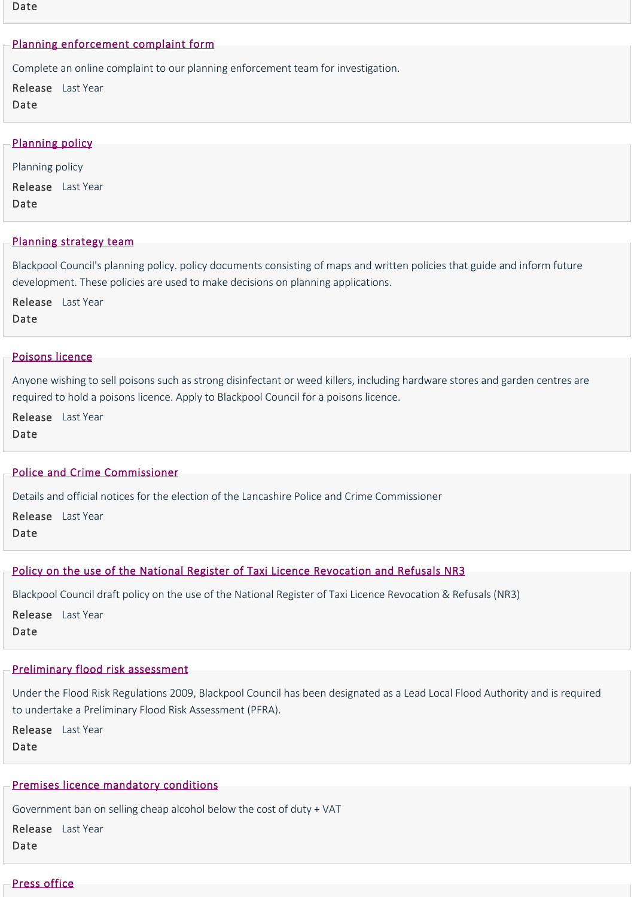#### Date

#### [Planning enforcement complaint form](https://www.blackpool.gov.uk/Residents/Planning-environment-and-community/Forms/Planning-enforcement-complaint-form.aspx)

Complete an online complaint to our planning enforcement team for investigation.

Release Last Year Date

#### [Planning policy](https://www.blackpool.gov.uk/Residents/Planning-environment-and-community/Planning/Planning-policy/Planning-policy.aspx)

Planning policy Release Last Year Date

#### [Planning strategy team](https://www.blackpool.gov.uk/Residents/Planning-environment-and-community/Planning/Planning-policy/Planning-policy-team.aspx)

Blackpool Council's planning policy. policy documents consisting of maps and written policies that guide and inform future development. These policies are used to make decisions on planning applications.

Release Last Year Date

#### [Poisons licence](https://www.blackpool.gov.uk/Business/Licensing-and-permits/Business-and-trading-licences/Poisons-licence.aspx)

Anyone wishing to sell poisons such as strong disinfectant or weed killers, including hardware stores and garden centres are required to hold a poisons licence. Apply to Blackpool Council for a poisons licence.

Release Last Year Date

#### [Police and Crime Commissioner](https://www.blackpool.gov.uk/Your-Council/Voting-and-elections/Elections/Police-and-Crime-Commissioner-Elections/Police-and-Crime-Commissioner.aspx)

Details and official notices for the election of the Lancashire Police and Crime Commissioner

Release Last Year

Date

#### [Policy on the use of the National Register of Taxi Licence Revocation and Refusals NR3](https://www.blackpool.gov.uk/Business/Licensing-and-permits/Licensing-policies/Policy-on-the-use-of-the-National-Register-of-Taxi-Licence-Revocation-and-Refusals-NR3.aspx)

Blackpool Council draft policy on the use of the National Register of Taxi Licence Revocation & Refusals (NR3)

Release Last Year Date

## [Preliminary flood risk assessment](https://www.blackpool.gov.uk/Your-Council/Creating-a-better-Blackpool/Regeneration/Coastal-and-water-improvements/Flooding/Preliminary-flood-risk-assessment.aspx)

Under the Flood Risk Regulations 2009, Blackpool Council has been designated as a Lead Local Flood Authority and is required to undertake a Preliminary Flood Risk Assessment (PFRA).

Release Last Year Date

#### [Premises licence mandatory conditions](https://www.blackpool.gov.uk/Business/Licensing-and-permits/Alcohol-entertainment-and-food-licences/Premises-licence-mandatory-conditions.aspx)

Government ban on selling cheap alcohol below the cost of duty + VAT

Release Last Year Date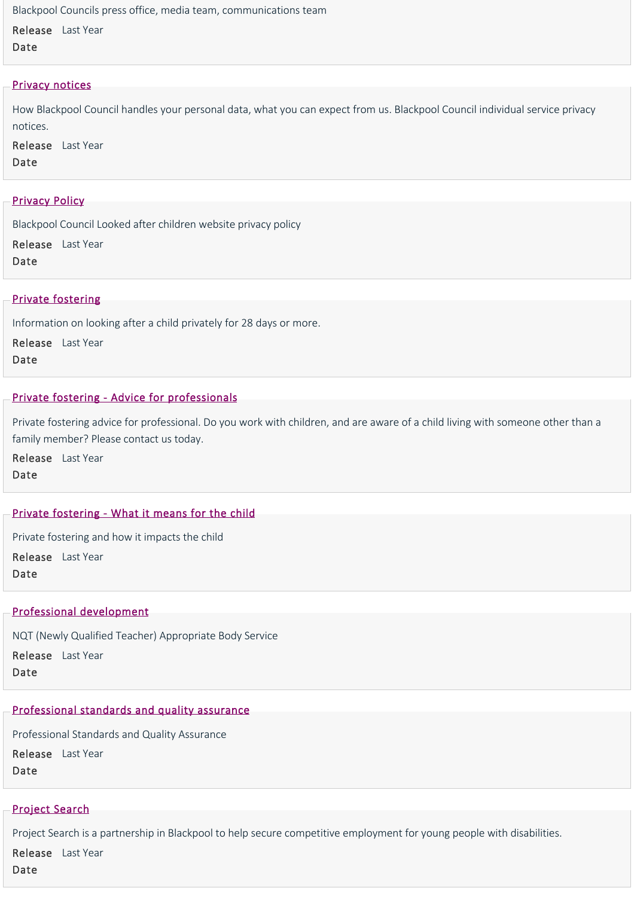Blackpool Councils press office, media team, communications team

Release Last Year Date

#### [Privacy notices](https://www.blackpool.gov.uk/Your-Council/Transparency-and-open-data/Data-protection/Privacy-notices/Privacy-notices.aspx)

How Blackpool Council handles your personal data, what you can expect from us. Blackpool Council individual service privacy notices.

Release Last Year Date

#### [Privacy Policy](https://www.blackpool.gov.uk/Residents/Health-and-social-care/Children-and-families/JustUz/PrivacyPolicy.aspx)

Blackpool Council Looked after children website privacy policy

Release Last Year Date

#### [Private fostering](https://www.blackpool.gov.uk/Residents/Health-and-social-care/Children-and-families/Childrens-social-care/Private-fostering.aspx)

Information on looking after a child privately for 28 days or more.

Release Last Year

Date

#### [Private fostering ‐ Advice for professionals](https://www.blackpool.gov.uk/Residents/Health-and-social-care/Children-and-families/Childrens-social-care/Private-fostering-Advice-for-professionals.aspx)

Private fostering advice for professional. Do you work with children, and are aware of a child living with someone other than a family member? Please contact us today.

Release Last Year Date

## [Private fostering ‐ What it means for the child](https://www.blackpool.gov.uk/Residents/Health-and-social-care/Children-and-families/Childrens-social-care/Private-fostering-What-it-means-for-the-child.aspx)

Private fostering and how it impacts the child Release Last Year

Date

#### [Professional development](https://www.blackpool.gov.uk/Business/Working-with-the-council/Education-and-schools/Professional-development-and-school-brokerage/Professional-development.aspx)

NQT (Newly Qualified Teacher) Appropriate Body Service

Release Last Year Date

# [Professional standards and quality assurance](https://www.blackpool.gov.uk/Your-Council/Statistics-and-research/Professional-standards-and-quality-assurance.aspx)

Professional Standards and Quality Assurance

Release Last Year

Date

## [Project Search](https://www.blackpool.gov.uk/Your-Council/Blackpool-Council-jobs/Project-Search/Project-Search.aspx)

Project Search is a partnership in Blackpool to help secure competitive employment for young people with disabilities. Release Last Year

Date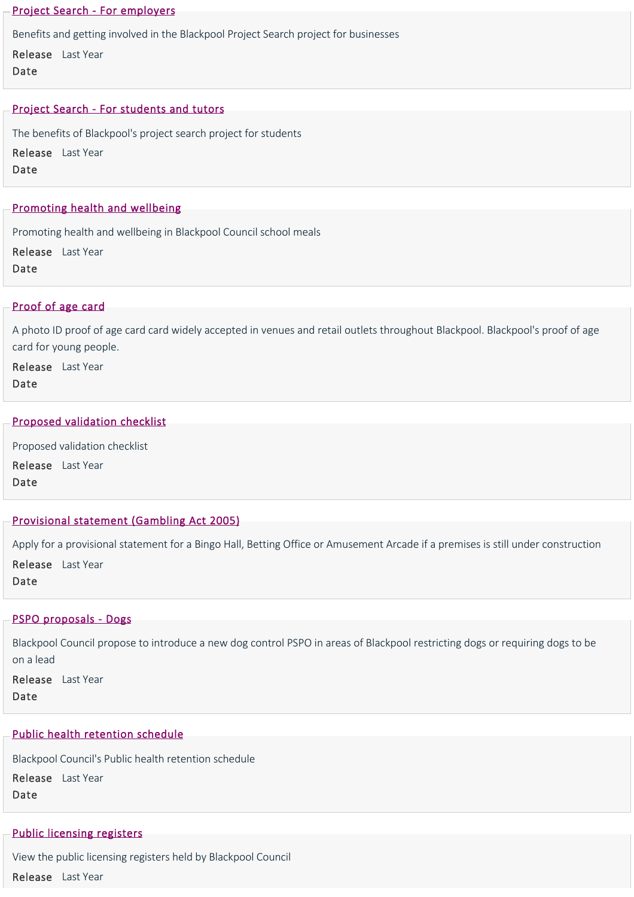### [Project Search ‐ For employers](https://www.blackpool.gov.uk/Your-Council/Blackpool-Council-jobs/Project-Search/Project-Search---For-employers.aspx)

Benefits and getting involved in the Blackpool Project Search project for businesses

Release Last Year Date

## [Project Search ‐ For students and tutors](https://www.blackpool.gov.uk/Your-Council/Blackpool-Council-jobs/Project-Search/Project-Search---For-students-and-tutors.aspx)

The benefits of Blackpool's project search project for students Release Last Year Date

## [Promoting health and wellbeing](https://www.blackpool.gov.uk/Business/Working-with-the-council/Education-and-schools/School-meals-service/Promoting-health-and-wellbeing.aspx)

Promoting health and wellbeing in Blackpool Council school meals

Release Last Year

Date

## [Proof of age card](https://www.blackpool.gov.uk/Residents/Advice-and-support/Consumer-advice/Proof-of-age-card.aspx)

A photo ID proof of age card card widely accepted in venues and retail outlets throughout Blackpool. Blackpool's proof of age card for young people.

Release Last Year Date

#### [Proposed validation checklist](https://www.blackpool.gov.uk/Residents/Planning-environment-and-community/Planning/Planning-applications/Proposed-validation-checklist.aspx)

Proposed validation checklist Release Last Year Date

## [Provisional statement \(Gambling Act 2005\)](https://www.blackpool.gov.uk/Business/Licensing-and-permits/Gambling-licences/Premises-licences/Provisional-statement.aspx)

Apply for a provisional statement for a Bingo Hall, Betting Office or Amusement Arcade if a premises is still under construction Release Last Year

Date

#### [PSPO proposals ‐ Dogs](https://www.blackpool.gov.uk/Your-Council/Have-your-say/Consultations/Proposed-dog-control-PSPO.aspx)

Blackpool Council propose to introduce a new dog control PSPO in areas of Blackpool restricting dogs or requiring dogs to be on a lead

Release Last Year Date

## [Public health retention schedule](https://www.blackpool.gov.uk/Your-Council/Transparency-and-open-data/Data-protection/Retention-schedules/Public-health-retention-schedule.aspx)

Blackpool Council's Public health retention schedule Release Last Year Date

#### [Public licensing registers](https://www.blackpool.gov.uk/Business/Licensing-and-permits/Public-licensing-registers.aspx)

View the public licensing registers held by Blackpool Council Release Last Year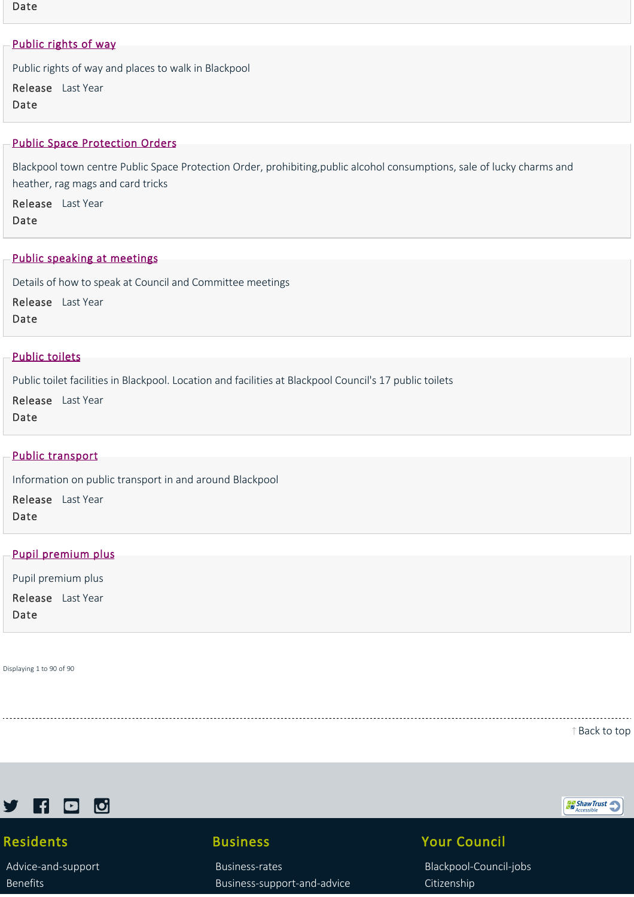Date

## [Public rights of way](https://www.blackpool.gov.uk/Residents/Parking-roads-and-transport/Roadworks-and-road-maintenance/Public-rights-of-way.aspx)

Public rights of way and places to walk in Blackpool

Release Last Year Date

#### [Public Space Protection Orders](https://www.blackpool.gov.uk/Residents/Planning-environment-and-community/Crime-and-safety/Public-space-protection-orders/Public-Space-Protection-Orders.aspx)

Blackpool town centre Public Space Protection Order, prohibiting,public alcohol consumptions, sale of lucky charms and heather, rag mags and card tricks

Release Last Year Date

#### [Public speaking at meetings](https://www.blackpool.gov.uk/Your-Council/Council-meetings/Public-access/Public-Speaking-at-meetings.aspx)

Details of how to speak at Council and Committee meetings

Release Last Year Date

## [Public toilets](https://www.blackpool.gov.uk/Residents/Planning-environment-and-community/Public-toilets.aspx)

Public toilet facilities in Blackpool. Location and facilities at Blackpool Council's 17 public toilets

Release Last Year Date

#### [Public transport](https://www.blackpool.gov.uk/Residents/Parking-roads-and-transport/Transport/Public-transport/Public-transport.aspx)

Information on public transport in and around Blackpool

Release Last Year Date

#### [Pupil premium plus](https://www.blackpool.gov.uk/Business/Working-with-the-council/Education-and-schools/Virtual-school-for-staff/Pupil-premium-plus.aspx)

Pupil premium plus Release Last YearDate

Displaying 1 to 90 of 90

[Back to top](https://www.blackpool.gov.uk/List-of-Services.aspx?AZListing_AtoZLetter=P#)



# Residents

[Advice‐and‐support](https://www.blackpool.gov.uk/Residents/Advice-and-support/) [Benefits](https://www.blackpool.gov.uk/Residents/Benefits/)

# Business

[Business‐rates](https://www.blackpool.gov.uk/Business/Business-rates/) [Business‐support‐and‐advice](https://www.blackpool.gov.uk/Business/Business-support-and-advice/)

# Your Council

[Blackpool‐Council‐jobs](https://www.blackpool.gov.uk/Your-Council/Blackpool-Council-jobs/) [Citizenship](https://www.blackpool.gov.uk/Your-Council/Citizenship/)